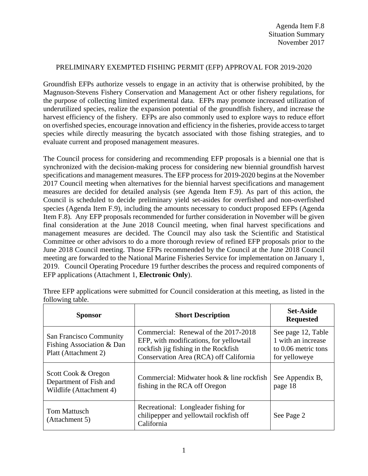## PRELIMINARY EXEMPTED FISHING PERMIT (EFP) APPROVAL FOR 2019-2020

Groundfish EFPs authorize vessels to engage in an activity that is otherwise prohibited, by the Magnuson-Stevens Fishery Conservation and Management Act or other fishery regulations, for the purpose of collecting limited experimental data. EFPs may promote increased utilization of underutilized species, realize the expansion potential of the groundfish fishery, and increase the harvest efficiency of the fishery. EFPs are also commonly used to explore ways to reduce effort on overfished species, encourage innovation and efficiency in the fisheries, provide access to target species while directly measuring the bycatch associated with those fishing strategies, and to evaluate current and proposed management measures.

The Council process for considering and recommending EFP proposals is a biennial one that is synchronized with the decision-making process for considering new biennial groundfish harvest specifications and management measures. The EFP process for 2019-2020 begins at the November 2017 Council meeting when alternatives for the biennial harvest specifications and management measures are decided for detailed analysis (see Agenda Item F.9). As part of this action, the Council is scheduled to decide preliminary yield set-asides for overfished and non-overfished species (Agenda Item F.9), including the amounts necessary to conduct proposed EFPs (Agenda Item F.8). Any EFP proposals recommended for further consideration in November will be given final consideration at the June 2018 Council meeting, when final harvest specifications and management measures are decided. The Council may also task the Scientific and Statistical Committee or other advisors to do a more thorough review of refined EFP proposals prior to the June 2018 Council meeting. Those EFPs recommended by the Council at the June 2018 Council meeting are forwarded to the National Marine Fisheries Service for implementation on January 1, 2019. Council Operating Procedure 19 further describes the process and required components of EFP applications (Attachment 1, **Electronic Only**).

| <b>Sponsor</b>                                                               | <b>Short Description</b>                                                                                                                                          | <b>Set-Aside</b><br><b>Requested</b>                                             |
|------------------------------------------------------------------------------|-------------------------------------------------------------------------------------------------------------------------------------------------------------------|----------------------------------------------------------------------------------|
| San Francisco Community<br>Fishing Association & Dan<br>Platt (Attachment 2) | Commercial: Renewal of the 2017-2018<br>EFP, with modifications, for yellowtail<br>rockfish jig fishing in the Rockfish<br>Conservation Area (RCA) off California | See page 12, Table<br>1 with an increase<br>to 0.06 metric tons<br>for yelloweye |
| Scott Cook & Oregon<br>Department of Fish and<br>Wildlife (Attachment 4)     | Commercial: Midwater hook & line rockfish<br>fishing in the RCA off Oregon                                                                                        | See Appendix B,<br>page 18                                                       |
| <b>Tom Mattusch</b><br>(Attachment 5)                                        | Recreational: Longleader fishing for<br>chilipepper and yellowtail rockfish off<br>California                                                                     | See Page 2                                                                       |

Three EFP applications were submitted for Council consideration at this meeting, as listed in the following table.